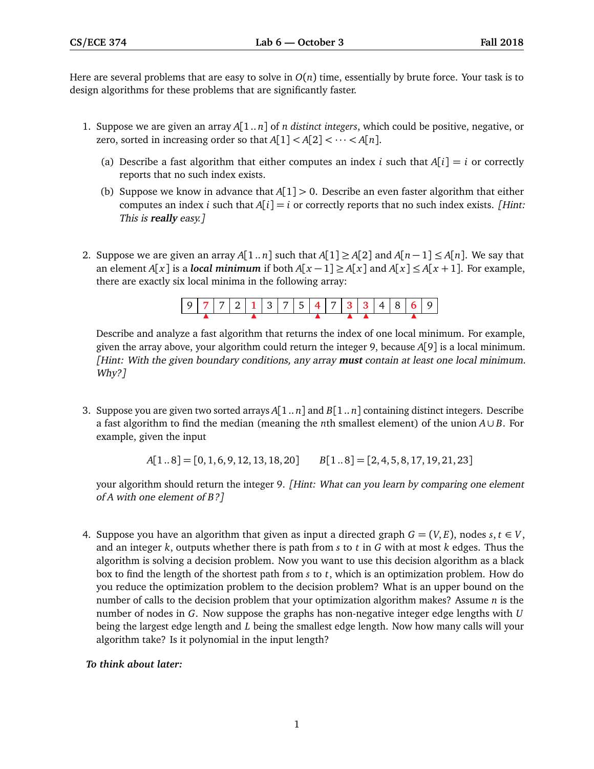Here are several problems that are easy to solve in  $O(n)$  time, essentially by brute force. Your task is to design algorithms for these problems that are significantly faster.

- 1. Suppose we are given an array *A*[1 .. *n*] of *n distinct integers*, which could be positive, negative, or zero, sorted in increasing order so that  $A[1] < A[2] < \cdots < A[n]$ .
	- (a) Describe a fast algorithm that either computes an index *i* such that  $A[i] = i$  or correctly reports that no such index exists.
	- (b) Suppose we know in advance that *A*[1] *>* 0. Describe an even faster algorithm that either computes an index *i* such that  $A[i] = i$  or correctly reports that no such index exists. [Hint: This is **really** easy.]
- 2. Suppose we are given an array *A*[1.. *n*] such that *A*[1]  $\geq$  *A*[2] and *A*[*n* − 1]  $\leq$  *A*[*n*]. We say that an element *A*[*x*] is a *local minimum* if both *A*[*x* − 1] ≥ *A*[*x*] and *A*[*x*] ≤ *A*[*x* + 1]. For example, there are exactly six local minima in the following array:

| 977721375477884869 |  |  |  |  |  |  |  |  |
|--------------------|--|--|--|--|--|--|--|--|
|                    |  |  |  |  |  |  |  |  |

Describe and analyze a fast algorithm that returns the index of one local minimum. For example, given the array above, your algorithm could return the integer 9, because *A*[9] is a local minimum. [Hint: With the given boundary conditions, any array **must** contain at least one local minimum. Why?]

3. Suppose you are given two sorted arrays *A*[1 .. *n*] and *B*[1 .. *n*] containing distinct integers. Describe a fast algorithm to find the median (meaning the *n*th smallest element) of the union *A*∪ *B*. For example, given the input

$$
A[1..8] = [0, 1, 6, 9, 12, 13, 18, 20] \qquad B[1..8] = [2, 4, 5, 8, 17, 19, 21, 23]
$$

your algorithm should return the integer 9. [Hint: What can you learn by comparing one element of *A* with one element of *B*?]

4. Suppose you have an algorithm that given as input a directed graph  $G = (V, E)$ , nodes  $s, t \in V$ , and an integer *k*, outputs whether there is path from *s* to *t* in *G* with at most *k* edges. Thus the algorithm is solving a decision problem. Now you want to use this decision algorithm as a black box to find the length of the shortest path from *s* to *t*, which is an optimization problem. How do you reduce the optimization problem to the decision problem? What is an upper bound on the number of calls to the decision problem that your optimization algorithm makes? Assume *n* is the number of nodes in *G*. Now suppose the graphs has non-negative integer edge lengths with *U* being the largest edge length and *L* being the smallest edge length. Now how many calls will your algorithm take? Is it polynomial in the input length?

## *To think about later:*